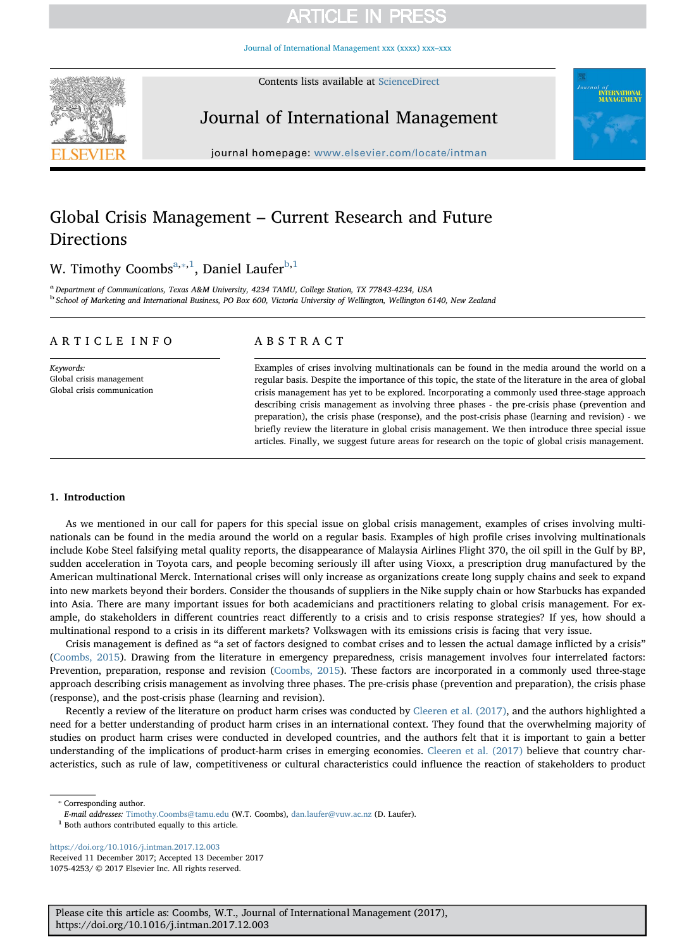[Journal of International Management xxx \(xxxx\) xxx–xxx](https://doi.org/10.1016/j.intman.2017.12.003)



Contents lists available at [ScienceDirect](http://www.sciencedirect.com/science/journal/10754253)

# Journal of International Management



journal homepage: [www.elsevier.com/locate/intman](https://www.elsevier.com/locate/intman)

# Global Crisis Management – Current Research and Future Directions

W. Timothy Coombs<sup>[a](#page-0-0),\*,[1](#page-0-2)</sup>, Daniel Laufer<sup>[b,](#page-0-3)1</sup>

<span id="page-0-3"></span><span id="page-0-0"></span>a Department of Communications, Texas A&M University, 4234 TAMU, College Station, TX 77843-4234, USA <sup>b</sup> School of Marketing and International Business, PO Box 600, Victoria University of Wellington, Wellington 6140, New Zealand

## ARTICLE INFO

Keywords: Global crisis management Global crisis communication

## ABSTRACT

Examples of crises involving multinationals can be found in the media around the world on a regular basis. Despite the importance of this topic, the state of the literature in the area of global crisis management has yet to be explored. Incorporating a commonly used three-stage approach describing crisis management as involving three phases - the pre-crisis phase (prevention and preparation), the crisis phase (response), and the post-crisis phase (learning and revision) - we briefly review the literature in global crisis management. We then introduce three special issue articles. Finally, we suggest future areas for research on the topic of global crisis management.

## 1. Introduction

As we mentioned in our call for papers for this special issue on global crisis management, examples of crises involving multinationals can be found in the media around the world on a regular basis. Examples of high profile crises involving multinationals include Kobe Steel falsifying metal quality reports, the disappearance of Malaysia Airlines Flight 370, the oil spill in the Gulf by BP, sudden acceleration in Toyota cars, and people becoming seriously ill after using Vioxx, a prescription drug manufactured by the American multinational Merck. International crises will only increase as organizations create long supply chains and seek to expand into new markets beyond their borders. Consider the thousands of suppliers in the Nike supply chain or how Starbucks has expanded into Asia. There are many important issues for both academicians and practitioners relating to global crisis management. For example, do stakeholders in different countries react differently to a crisis and to crisis response strategies? If yes, how should a multinational respond to a crisis in its different markets? Volkswagen with its emissions crisis is facing that very issue.

Crisis management is defined as "a set of factors designed to combat crises and to lessen the actual damage inflicted by a crisis" ([Coombs, 2015\)](#page-4-0). Drawing from the literature in emergency preparedness, crisis management involves four interrelated factors: Prevention, preparation, response and revision ([Coombs, 2015](#page-4-0)). These factors are incorporated in a commonly used three-stage approach describing crisis management as involving three phases. The pre-crisis phase (prevention and preparation), the crisis phase (response), and the post-crisis phase (learning and revision).

Recently a review of the literature on product harm crises was conducted by [Cleeren et al. \(2017\)](#page-4-1), and the authors highlighted a need for a better understanding of product harm crises in an international context. They found that the overwhelming majority of studies on product harm crises were conducted in developed countries, and the authors felt that it is important to gain a better understanding of the implications of product-harm crises in emerging economies. [Cleeren et al. \(2017\)](#page-4-1) believe that country characteristics, such as rule of law, competitiveness or cultural characteristics could influence the reaction of stakeholders to product

<span id="page-0-2"></span><sup>1</sup> Both authors contributed equally to this article.

<https://doi.org/10.1016/j.intman.2017.12.003> Received 11 December 2017; Accepted 13 December 2017 1075-4253/ © 2017 Elsevier Inc. All rights reserved.

<span id="page-0-1"></span><sup>⁎</sup> Corresponding author.

E-mail addresses: [Timothy.Coombs@tamu.edu](mailto:Timothy.Coombs@tamu.edu) (W.T. Coombs), [dan.laufer@vuw.ac.nz](mailto:dan.laufer@vuw.ac.nz) (D. Laufer).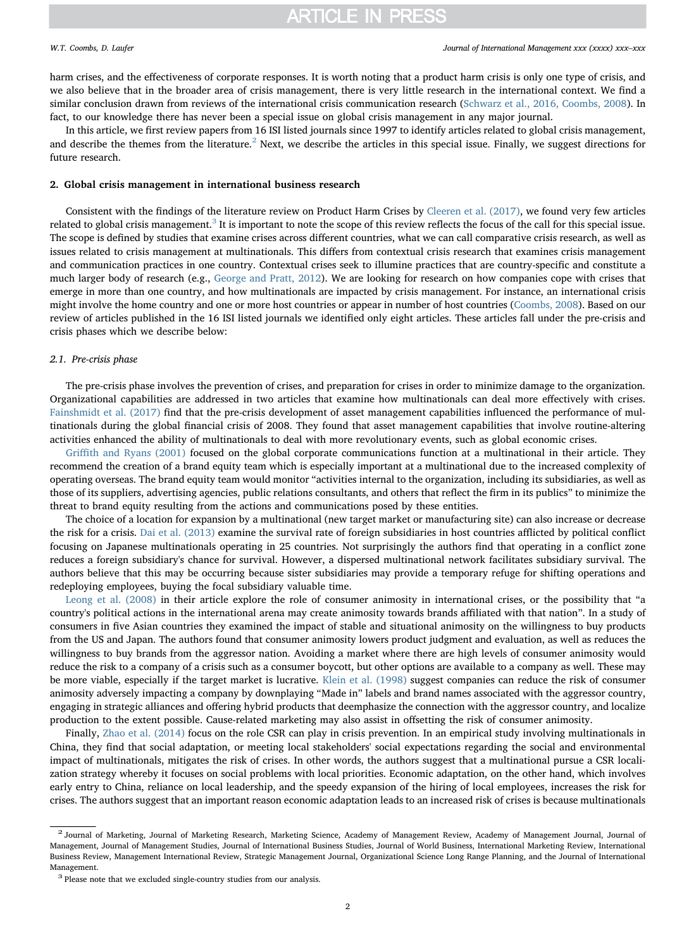harm crises, and the effectiveness of corporate responses. It is worth noting that a product harm crisis is only one type of crisis, and we also believe that in the broader area of crisis management, there is very little research in the international context. We find a similar conclusion drawn from reviews of the international crisis communication research ([Schwarz et al., 2016, Coombs, 2008](#page-4-2)). In fact, to our knowledge there has never been a special issue on global crisis management in any major journal.

In this article, we first review papers from 16 ISI listed journals since 1997 to identify articles related to global crisis management, and describe the themes from the literature.<sup>[2](#page-1-0)</sup> Next, we describe the articles in this special issue. Finally, we suggest directions for future research.

### 2. Global crisis management in international business research

Consistent with the findings of the literature review on Product Harm Crises by [Cleeren et al. \(2017\)](#page-4-1), we found very few articles related to global crisis management.<sup>[3](#page-1-1)</sup> It is important to note the scope of this review reflects the focus of the call for this special issue. The scope is defined by studies that examine crises across different countries, what we can call comparative crisis research, as well as issues related to crisis management at multinationals. This differs from contextual crisis research that examines crisis management and communication practices in one country. Contextual crises seek to illumine practices that are country-specific and constitute a much larger body of research (e.g., [George and Pratt, 2012](#page-4-3)). We are looking for research on how companies cope with crises that emerge in more than one country, and how multinationals are impacted by crisis management. For instance, an international crisis might involve the home country and one or more host countries or appear in number of host countries [\(Coombs, 2008\)](#page-4-4). Based on our review of articles published in the 16 ISI listed journals we identified only eight articles. These articles fall under the pre-crisis and crisis phases which we describe below:

### 2.1. Pre-crisis phase

The pre-crisis phase involves the prevention of crises, and preparation for crises in order to minimize damage to the organization. Organizational capabilities are addressed in two articles that examine how multinationals can deal more effectively with crises. [Fainshmidt et al. \(2017\)](#page-4-5) find that the pre-crisis development of asset management capabilities influenced the performance of multinationals during the global financial crisis of 2008. They found that asset management capabilities that involve routine-altering activities enhanced the ability of multinationals to deal with more revolutionary events, such as global economic crises.

Griffi[th and Ryans \(2001\)](#page-4-6) focused on the global corporate communications function at a multinational in their article. They recommend the creation of a brand equity team which is especially important at a multinational due to the increased complexity of operating overseas. The brand equity team would monitor "activities internal to the organization, including its subsidiaries, as well as those of its suppliers, advertising agencies, public relations consultants, and others that reflect the firm in its publics" to minimize the threat to brand equity resulting from the actions and communications posed by these entities.

The choice of a location for expansion by a multinational (new target market or manufacturing site) can also increase or decrease the risk for a crisis. [Dai et al. \(2013\)](#page-4-7) examine the survival rate of foreign subsidiaries in host countries afflicted by political conflict focusing on Japanese multinationals operating in 25 countries. Not surprisingly the authors find that operating in a conflict zone reduces a foreign subsidiary's chance for survival. However, a dispersed multinational network facilitates subsidiary survival. The authors believe that this may be occurring because sister subsidiaries may provide a temporary refuge for shifting operations and redeploying employees, buying the focal subsidiary valuable time.

[Leong et al. \(2008\)](#page-4-8) in their article explore the role of consumer animosity in international crises, or the possibility that "a country's political actions in the international arena may create animosity towards brands affiliated with that nation". In a study of consumers in five Asian countries they examined the impact of stable and situational animosity on the willingness to buy products from the US and Japan. The authors found that consumer animosity lowers product judgment and evaluation, as well as reduces the willingness to buy brands from the aggressor nation. Avoiding a market where there are high levels of consumer animosity would reduce the risk to a company of a crisis such as a consumer boycott, but other options are available to a company as well. These may be more viable, especially if the target market is lucrative. [Klein et al. \(1998\)](#page-4-9) suggest companies can reduce the risk of consumer animosity adversely impacting a company by downplaying "Made in" labels and brand names associated with the aggressor country, engaging in strategic alliances and offering hybrid products that deemphasize the connection with the aggressor country, and localize production to the extent possible. Cause-related marketing may also assist in offsetting the risk of consumer animosity.

Finally, [Zhao et al. \(2014\)](#page-4-10) focus on the role CSR can play in crisis prevention. In an empirical study involving multinationals in China, they find that social adaptation, or meeting local stakeholders' social expectations regarding the social and environmental impact of multinationals, mitigates the risk of crises. In other words, the authors suggest that a multinational pursue a CSR localization strategy whereby it focuses on social problems with local priorities. Economic adaptation, on the other hand, which involves early entry to China, reliance on local leadership, and the speedy expansion of the hiring of local employees, increases the risk for crises. The authors suggest that an important reason economic adaptation leads to an increased risk of crises is because multinationals

<span id="page-1-0"></span><sup>&</sup>lt;sup>2</sup> Journal of Marketing, Journal of Marketing Research, Marketing Science, Academy of Management Review, Academy of Management Journal, Journal of Management, Journal of Management Studies, Journal of International Business Studies, Journal of World Business, International Marketing Review, International Business Review, Management International Review, Strategic Management Journal, Organizational Science Long Range Planning, and the Journal of International Management.  $^{\rm 3}$  Please note that we excluded single-country studies from our analysis.

<span id="page-1-1"></span>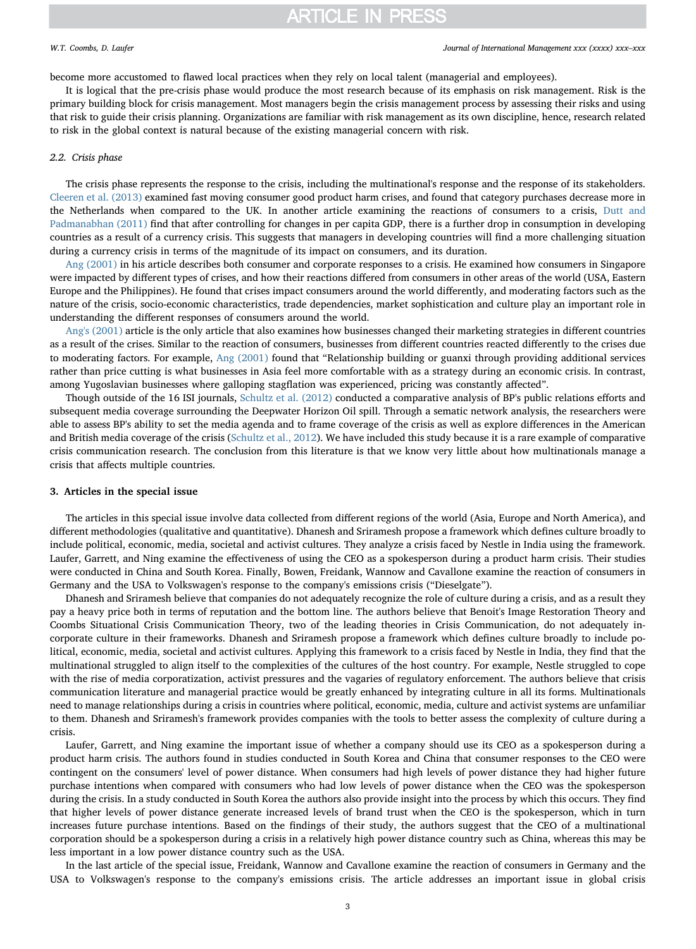#### W.T. Coombs, D. Laufer *Journal of International Management xxx (xxxx) xxx–xxx*

become more accustomed to flawed local practices when they rely on local talent (managerial and employees).

It is logical that the pre-crisis phase would produce the most research because of its emphasis on risk management. Risk is the primary building block for crisis management. Most managers begin the crisis management process by assessing their risks and using that risk to guide their crisis planning. Organizations are familiar with risk management as its own discipline, hence, research related to risk in the global context is natural because of the existing managerial concern with risk.

### 2.2. Crisis phase

The crisis phase represents the response to the crisis, including the multinational's response and the response of its stakeholders. [Cleeren et al. \(2013\)](#page-4-11) examined fast moving consumer good product harm crises, and found that category purchases decrease more in the Netherlands when compared to the UK. In another article examining the reactions of consumers to a crisis, [Dutt and](#page-4-12) [Padmanabhan \(2011\)](#page-4-12) find that after controlling for changes in per capita GDP, there is a further drop in consumption in developing countries as a result of a currency crisis. This suggests that managers in developing countries will find a more challenging situation during a currency crisis in terms of the magnitude of its impact on consumers, and its duration.

[Ang \(2001\)](#page-4-13) in his article describes both consumer and corporate responses to a crisis. He examined how consumers in Singapore were impacted by different types of crises, and how their reactions differed from consumers in other areas of the world (USA, Eastern Europe and the Philippines). He found that crises impact consumers around the world differently, and moderating factors such as the nature of the crisis, socio-economic characteristics, trade dependencies, market sophistication and culture play an important role in understanding the different responses of consumers around the world.

[Ang's \(2001\)](#page-4-13) article is the only article that also examines how businesses changed their marketing strategies in different countries as a result of the crises. Similar to the reaction of consumers, businesses from different countries reacted differently to the crises due to moderating factors. For example, [Ang \(2001\)](#page-4-13) found that "Relationship building or guanxi through providing additional services rather than price cutting is what businesses in Asia feel more comfortable with as a strategy during an economic crisis. In contrast, among Yugoslavian businesses where galloping stagflation was experienced, pricing was constantly affected".

Though outside of the 16 ISI journals, [Schultz et al. \(2012\)](#page-4-14) conducted a comparative analysis of BP's public relations efforts and subsequent media coverage surrounding the Deepwater Horizon Oil spill. Through a sematic network analysis, the researchers were able to assess BP's ability to set the media agenda and to frame coverage of the crisis as well as explore differences in the American and British media coverage of the crisis ([Schultz et al., 2012\)](#page-4-14). We have included this study because it is a rare example of comparative crisis communication research. The conclusion from this literature is that we know very little about how multinationals manage a crisis that affects multiple countries.

#### 3. Articles in the special issue

The articles in this special issue involve data collected from different regions of the world (Asia, Europe and North America), and different methodologies (qualitative and quantitative). Dhanesh and Sriramesh propose a framework which defines culture broadly to include political, economic, media, societal and activist cultures. They analyze a crisis faced by Nestle in India using the framework. Laufer, Garrett, and Ning examine the effectiveness of using the CEO as a spokesperson during a product harm crisis. Their studies were conducted in China and South Korea. Finally, Bowen, Freidank, Wannow and Cavallone examine the reaction of consumers in Germany and the USA to Volkswagen's response to the company's emissions crisis ("Dieselgate").

Dhanesh and Sriramesh believe that companies do not adequately recognize the role of culture during a crisis, and as a result they pay a heavy price both in terms of reputation and the bottom line. The authors believe that Benoit's Image Restoration Theory and Coombs Situational Crisis Communication Theory, two of the leading theories in Crisis Communication, do not adequately incorporate culture in their frameworks. Dhanesh and Sriramesh propose a framework which defines culture broadly to include political, economic, media, societal and activist cultures. Applying this framework to a crisis faced by Nestle in India, they find that the multinational struggled to align itself to the complexities of the cultures of the host country. For example, Nestle struggled to cope with the rise of media corporatization, activist pressures and the vagaries of regulatory enforcement. The authors believe that crisis communication literature and managerial practice would be greatly enhanced by integrating culture in all its forms. Multinationals need to manage relationships during a crisis in countries where political, economic, media, culture and activist systems are unfamiliar to them. Dhanesh and Sriramesh's framework provides companies with the tools to better assess the complexity of culture during a crisis.

Laufer, Garrett, and Ning examine the important issue of whether a company should use its CEO as a spokesperson during a product harm crisis. The authors found in studies conducted in South Korea and China that consumer responses to the CEO were contingent on the consumers' level of power distance. When consumers had high levels of power distance they had higher future purchase intentions when compared with consumers who had low levels of power distance when the CEO was the spokesperson during the crisis. In a study conducted in South Korea the authors also provide insight into the process by which this occurs. They find that higher levels of power distance generate increased levels of brand trust when the CEO is the spokesperson, which in turn increases future purchase intentions. Based on the findings of their study, the authors suggest that the CEO of a multinational corporation should be a spokesperson during a crisis in a relatively high power distance country such as China, whereas this may be less important in a low power distance country such as the USA.

In the last article of the special issue, Freidank, Wannow and Cavallone examine the reaction of consumers in Germany and the USA to Volkswagen's response to the company's emissions crisis. The article addresses an important issue in global crisis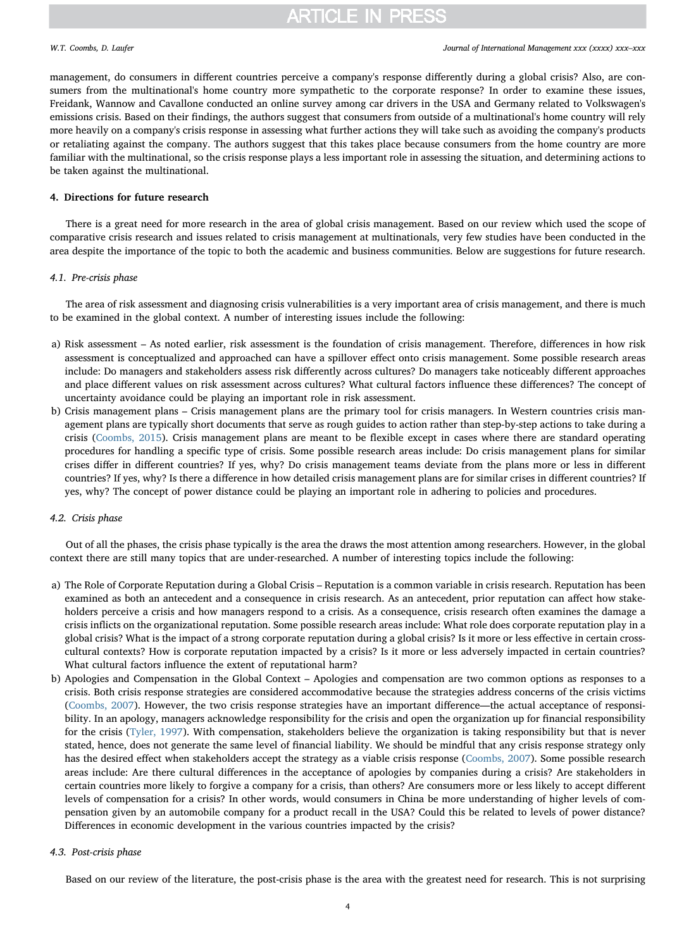management, do consumers in different countries perceive a company's response differently during a global crisis? Also, are consumers from the multinational's home country more sympathetic to the corporate response? In order to examine these issues, Freidank, Wannow and Cavallone conducted an online survey among car drivers in the USA and Germany related to Volkswagen's emissions crisis. Based on their findings, the authors suggest that consumers from outside of a multinational's home country will rely more heavily on a company's crisis response in assessing what further actions they will take such as avoiding the company's products or retaliating against the company. The authors suggest that this takes place because consumers from the home country are more familiar with the multinational, so the crisis response plays a less important role in assessing the situation, and determining actions to be taken against the multinational.

### 4. Directions for future research

There is a great need for more research in the area of global crisis management. Based on our review which used the scope of comparative crisis research and issues related to crisis management at multinationals, very few studies have been conducted in the area despite the importance of the topic to both the academic and business communities. Below are suggestions for future research.

#### 4.1. Pre-crisis phase

The area of risk assessment and diagnosing crisis vulnerabilities is a very important area of crisis management, and there is much to be examined in the global context. A number of interesting issues include the following:

- a) Risk assessment As noted earlier, risk assessment is the foundation of crisis management. Therefore, differences in how risk assessment is conceptualized and approached can have a spillover effect onto crisis management. Some possible research areas include: Do managers and stakeholders assess risk differently across cultures? Do managers take noticeably different approaches and place different values on risk assessment across cultures? What cultural factors influence these differences? The concept of uncertainty avoidance could be playing an important role in risk assessment.
- b) Crisis management plans Crisis management plans are the primary tool for crisis managers. In Western countries crisis management plans are typically short documents that serve as rough guides to action rather than step-by-step actions to take during a crisis [\(Coombs, 2015\)](#page-4-0). Crisis management plans are meant to be flexible except in cases where there are standard operating procedures for handling a specific type of crisis. Some possible research areas include: Do crisis management plans for similar crises differ in different countries? If yes, why? Do crisis management teams deviate from the plans more or less in different countries? If yes, why? Is there a difference in how detailed crisis management plans are for similar crises in different countries? If yes, why? The concept of power distance could be playing an important role in adhering to policies and procedures.

## 4.2. Crisis phase

Out of all the phases, the crisis phase typically is the area the draws the most attention among researchers. However, in the global context there are still many topics that are under-researched. A number of interesting topics include the following:

- a) The Role of Corporate Reputation during a Global Crisis Reputation is a common variable in crisis research. Reputation has been examined as both an antecedent and a consequence in crisis research. As an antecedent, prior reputation can affect how stakeholders perceive a crisis and how managers respond to a crisis. As a consequence, crisis research often examines the damage a crisis inflicts on the organizational reputation. Some possible research areas include: What role does corporate reputation play in a global crisis? What is the impact of a strong corporate reputation during a global crisis? Is it more or less effective in certain crosscultural contexts? How is corporate reputation impacted by a crisis? Is it more or less adversely impacted in certain countries? What cultural factors influence the extent of reputational harm?
- b) Apologies and Compensation in the Global Context Apologies and compensation are two common options as responses to a crisis. Both crisis response strategies are considered accommodative because the strategies address concerns of the crisis victims ([Coombs, 2007\)](#page-4-15). However, the two crisis response strategies have an important difference—the actual acceptance of responsibility. In an apology, managers acknowledge responsibility for the crisis and open the organization up for financial responsibility for the crisis ([Tyler,](#page-4-16) 1997). With compensation, stakeholders believe the organization is taking responsibility but that is never stated, hence, does not generate the same level of financial liability. We should be mindful that any crisis response strategy only has the desired effect when stakeholders accept the strategy as a viable crisis response [\(Coombs, 2007](#page-4-15)). Some possible research areas include: Are there cultural differences in the acceptance of apologies by companies during a crisis? Are stakeholders in certain countries more likely to forgive a company for a crisis, than others? Are consumers more or less likely to accept different levels of compensation for a crisis? In other words, would consumers in China be more understanding of higher levels of compensation given by an automobile company for a product recall in the USA? Could this be related to levels of power distance? Differences in economic development in the various countries impacted by the crisis?

### 4.3. Post-crisis phase

Based on our review of the literature, the post-crisis phase is the area with the greatest need for research. This is not surprising